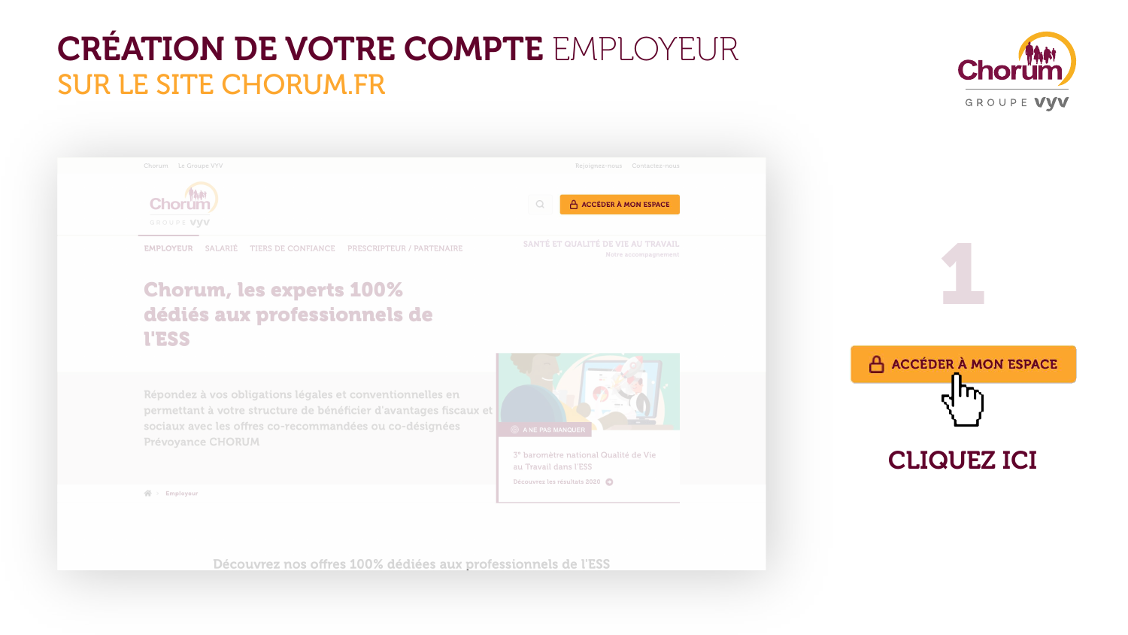| Chorum Le Groupe VYV |  |
|----------------------|--|
|                      |  |

GROUPE VVV

**EMPLOYEUR** SALARIÉ TIERS DE CONFIANCE PRESCRIPTEUR / PARTENAIRE

### **Chorum, les experts 100%** dédiés aux professionnels de **I'ESS**

Répondez à vos obligations légales et conventionnelles en permettant à votre structure de bénéficier d'avantages fiscaux et sociaux avec les offres co-recommandées ou co-désignées **Prévoyance CHORUM** 



 $\bigtriangleup$  > Employeur

Découvrez nos offres 100% dédiées aux professionnels de l'ESS



A ACCÉDER À MON ESPACE **CLIQUEZ ICI** 



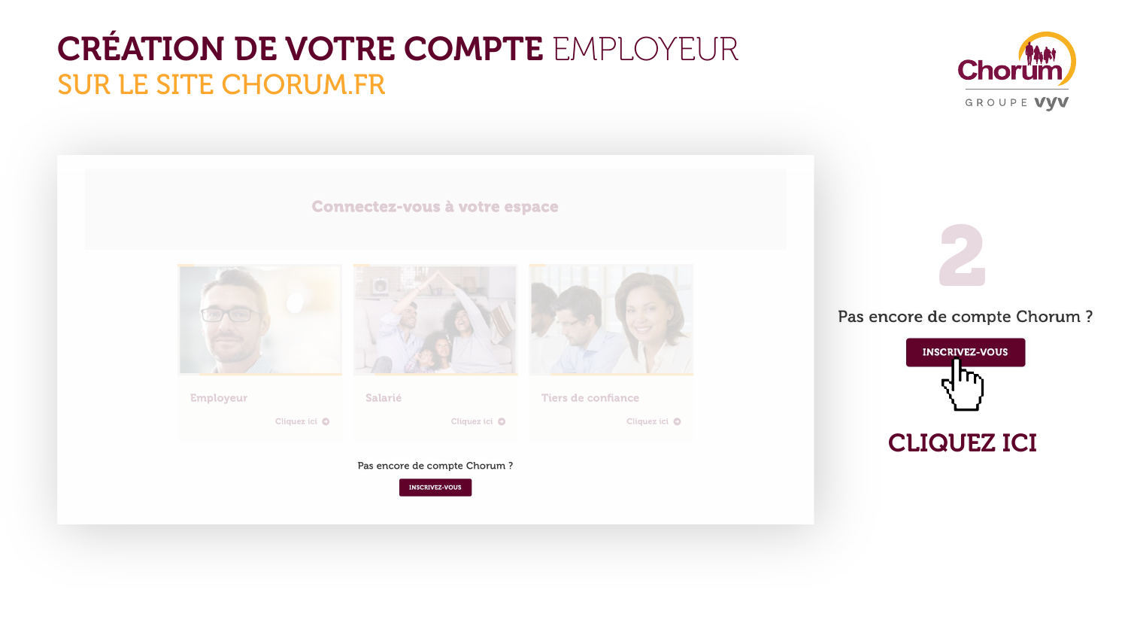# **CRÉATION DE VOTRE COMPTE EMPLOYEUR**

# SUR LE SITE CHORUM FR

### Prévoyance CHORUM

### **Connectez-vous à votre espace**



Salarié

**Employeur** 

Cliquez ici O

Cliquez ici  $\bullet$ 

#### Pas encore de compte Chorum ?





mètre natio

ail dans l'E!

z les résultats





**Tiers de confiance** 

Cliquez ici  $\bullet$ 



**INSCRIVEZ-VOUS** els de l 口际

### **CLIQUEZ ICI**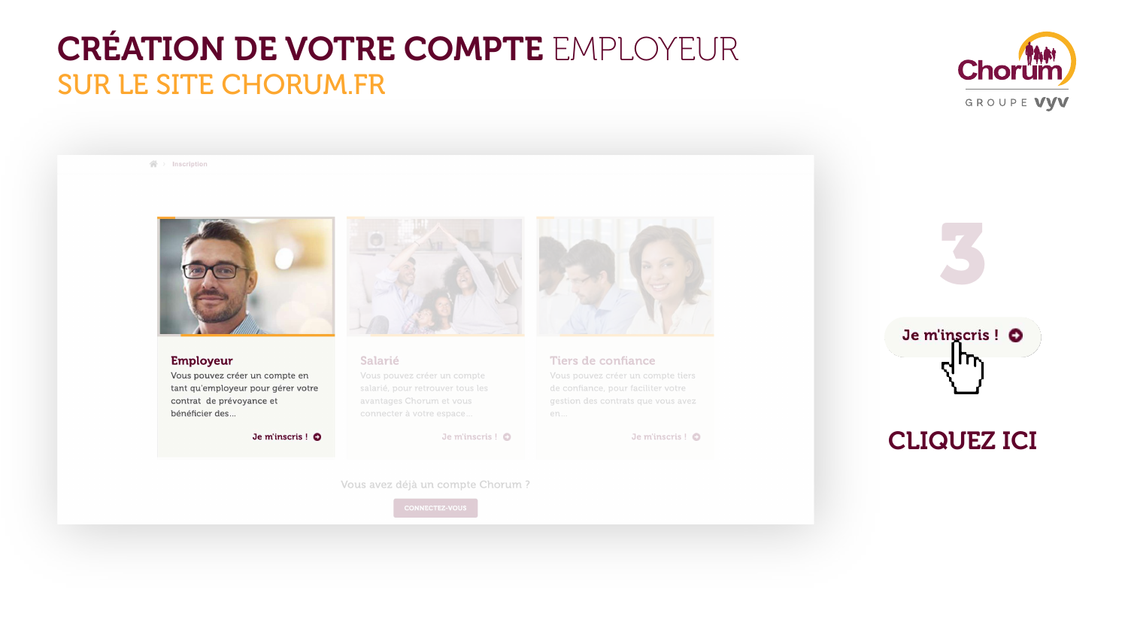#### $\mathbb{A}$  > Inscription



#### **Employeur**

Vous pouvez créer un compte en tant qu'employeur pour gérer votre contrat de prévoyance et bénéficier des...

Je m'inscris! O



#### Salarié

Vous pouvez créer un compte salarié, pour retrouver tous les avantages Chorum et vous connecter à votre espace...

Je m'inscris ! O

Vous avez déjà un compte Chorum ?

**CONNECTEZ-VOUS** 





#### **Tiers de confiance**

Vous pouvez créer un compte tiers de confiance, pour faciliter votre gestion des contrats que vous avez en...

Je m'inscris ! O



### CLIQUEZ ICI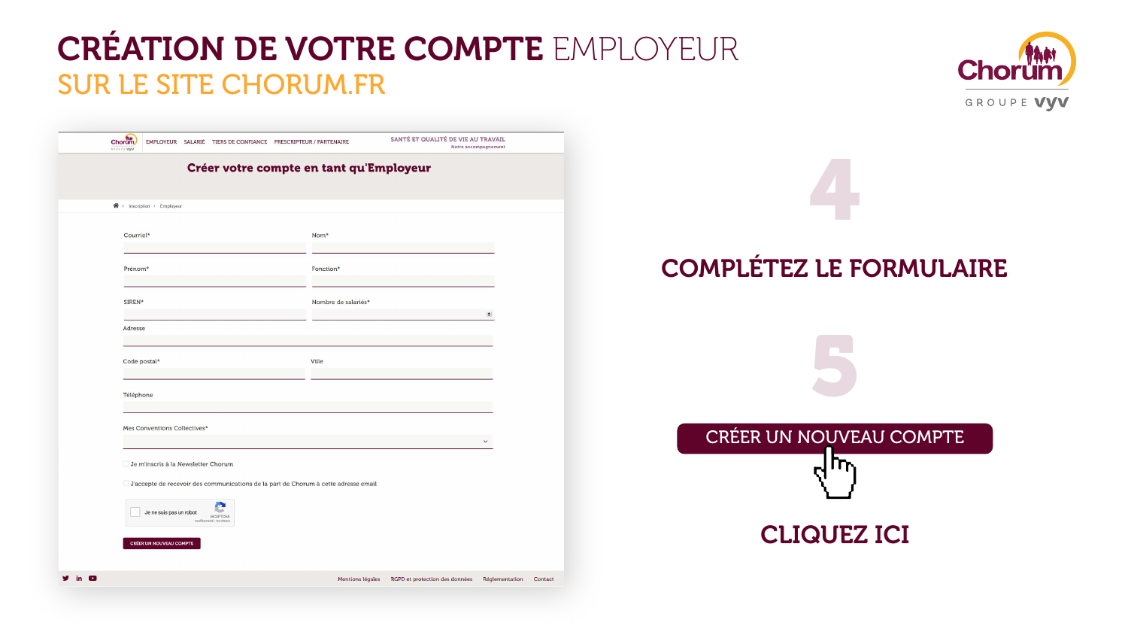CLIQUEZ ICI

### COMPLÉTEZ LE FORMULAIRE

4



5

## CRÉATION DE VOTRE COMPTE EMPLOYEUR SUR LE SITE CHORUM.FR

|              | Chorum<br>EMPLOYEUR SALARIÉ TIERS DE CONFIANCE PRESCRIPTEUR / PARTENAIRE<br>GROUPE VYV |                     | SANTÉ ET QUALITÉ DE VIE AU TRAVAIL | Notre accompagnement         |
|--------------|----------------------------------------------------------------------------------------|---------------------|------------------------------------|------------------------------|
|              | Créer votre compte en tant qu'Employeur                                                |                     |                                    |                              |
|              | $\bigwedge$ > Inscription > Employeur                                                  |                     |                                    |                              |
|              | Courriel*                                                                              | Nom*                |                                    |                              |
|              | Prénom*                                                                                | Fonction*           |                                    |                              |
|              | SIREN*                                                                                 | Nombre de salariés* |                                    | $\left  \frac{1}{2} \right $ |
|              | Adresse                                                                                |                     |                                    |                              |
|              | Code postal*                                                                           | Ville               |                                    |                              |
|              | Téléphone                                                                              |                     |                                    |                              |
|              | Mes Conventions Collectives*                                                           |                     |                                    | $\checkmark$                 |
|              | Je m'inscris à la Newsletter Chorum                                                    |                     |                                    |                              |
|              | □ J'accepte de recevoir des communications de la part de Chorum à cette adresse email  |                     |                                    |                              |
|              | Je ne suis pas un robot<br>reCAPTCHA<br>Confidentialité - Conditions                   |                     |                                    |                              |
|              | CRÉER UN NOUVEAU COMPTE                                                                |                     |                                    |                              |
| in $\bullet$ |                                                                                        | Mentions légales    | RGPD et protection des données     | Réglementatio                |

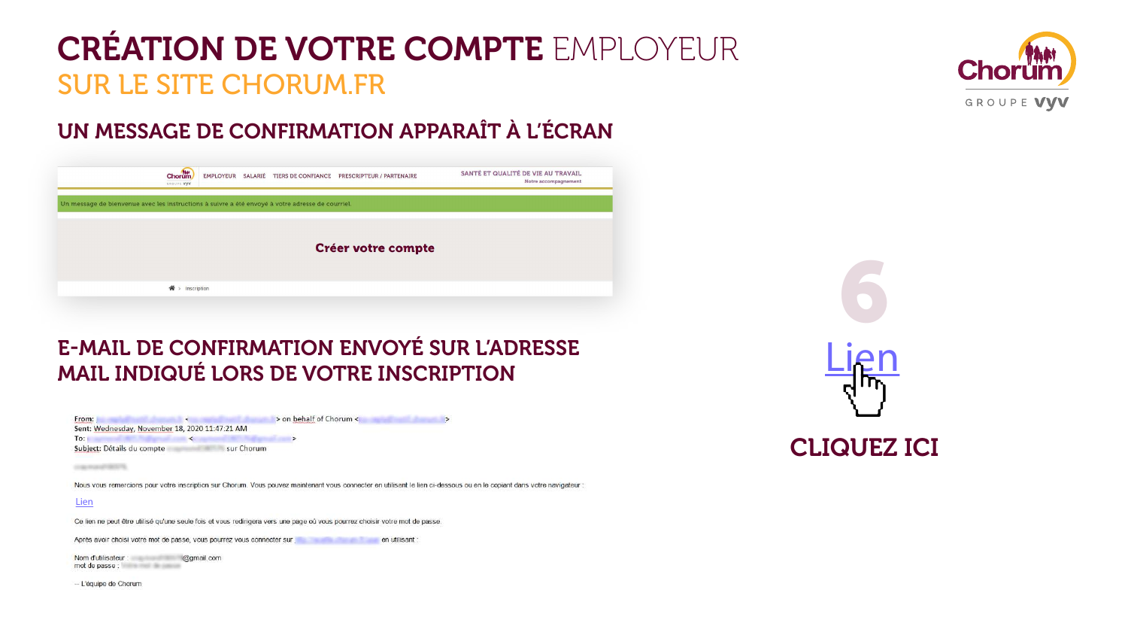### UN MESSAGE DE CONFIRMATION APPARAÎT À L'ÉCRAN



### E-MAIL DE CONFIRMATION ENVOYÉ SUR L'ADRESSE MAIL INDIQUÉ LORS DE VOTRE INSCRIPTION

| From:                                          |            | > on behalf of Chorum < |  |
|------------------------------------------------|------------|-------------------------|--|
| Sent: Wednesday, November 18, 2020 11:47:21 AM |            |                         |  |
| To:                                            |            |                         |  |
| Subject: Détails du compte                     | sur Chorum |                         |  |

Nous vous remercions pour votre inscription sur Chorum. Vous pouvez maintenant vous connecter en utilisant le lien ci-dessous ou en le copiant dans votre navigateur

#### **Lien**

Ce lien ne peut être utilisé qu'une seule fois et vous redirigera vers une page où vous pourrez choisir votre mot de passe

Après avoir choisi votre mot de passe, vous pourrez vous connecter sur en en un en utilisant :

Nom d'utilisateur : @gmail.com mot de passe : a construction de passe :

-- L'équipe de Chorum





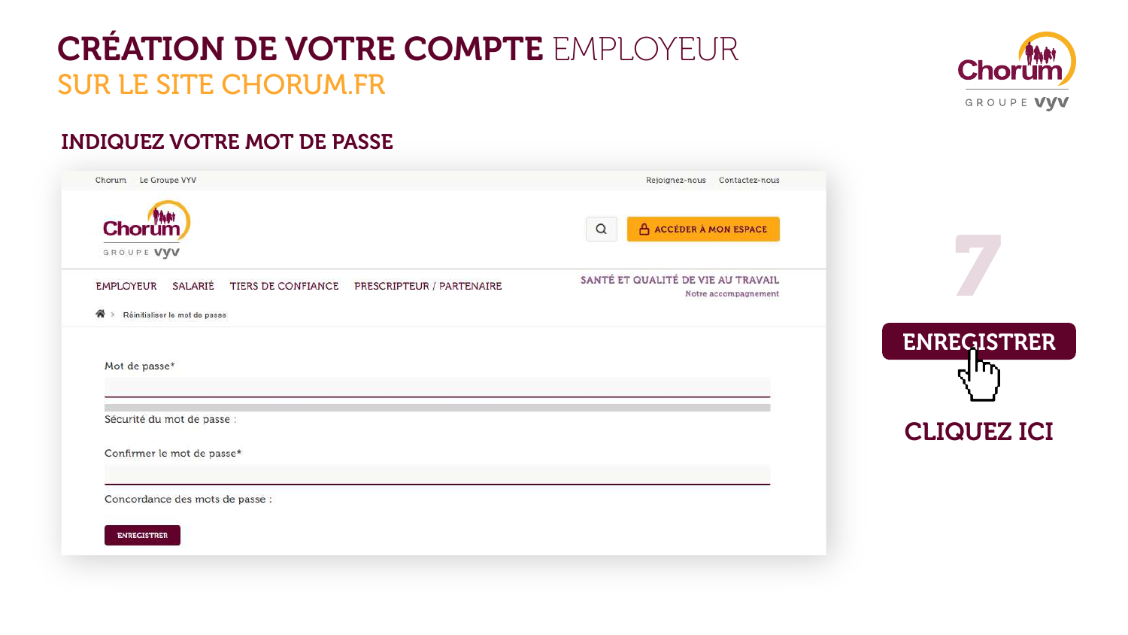### **INDIQUEZ VOTRE MOT DE PASSE**

| Chorum.<br>GROUPE VYV  |                                 |                                              |
|------------------------|---------------------------------|----------------------------------------------|
| EMPLOYEUR SALARIÉ<br>倄 | Réinitialiser le mot de passe   | TIERS DE CONFIANCE PRESCRIPTEUR / PARTENAIRE |
|                        |                                 |                                              |
|                        |                                 |                                              |
| Mot de passe*          |                                 |                                              |
|                        | Sécurité du mot de passe :      |                                              |
|                        | Confirmer le mot de passe*      |                                              |
|                        | Concordance des mots de passe : |                                              |





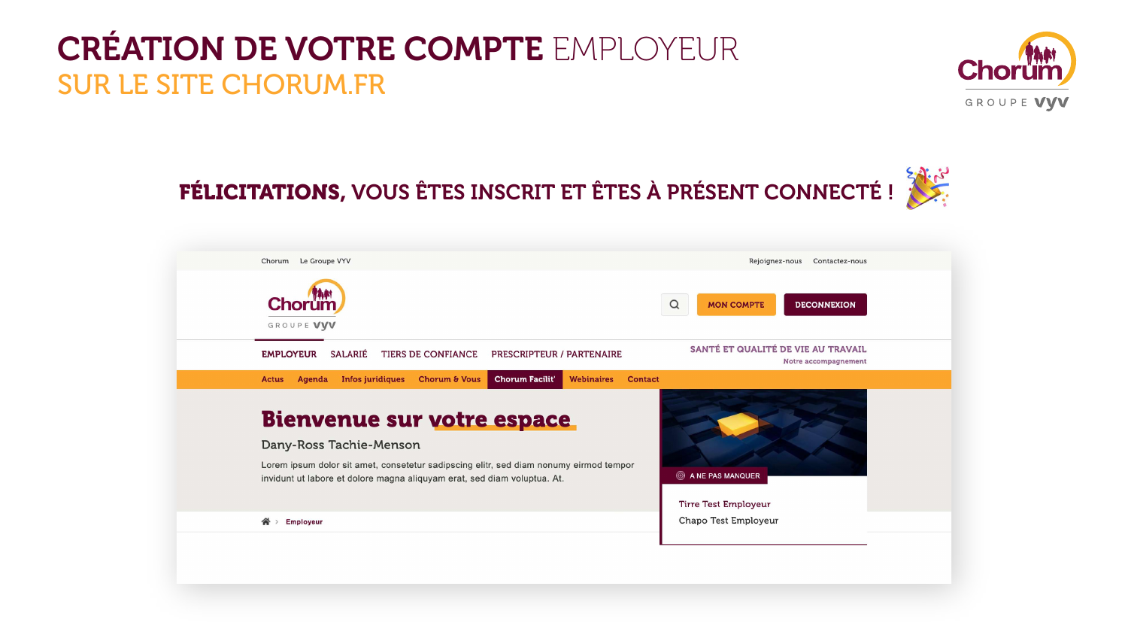



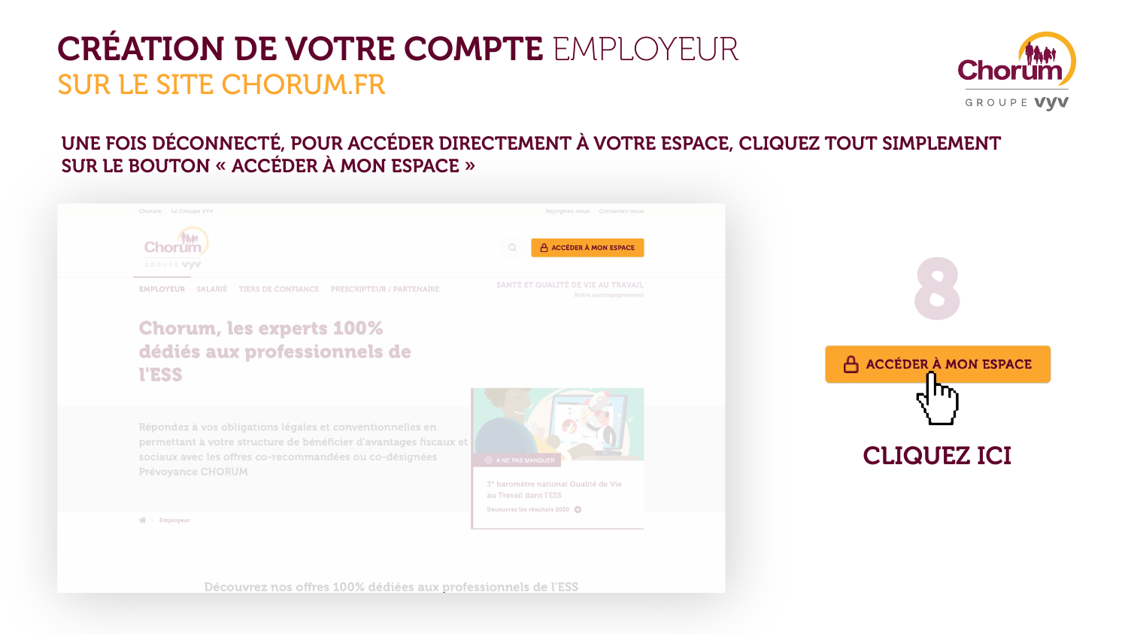### UNE FOIS DÉCONNECTÉ, POUR ACCÉDER DIRECTEMENT À VOTRE ESPACE, CLIQUEZ TOUT SIMPLEMENT SUR LE BOUTON « ACCÉDER À MON ESPACE »

Chorum Le Groupe VYV



**EMPLOYEUR SALARIÉ TIERS DE CONFIANCE PRESCRIPTEUR / PARTENAIRE** 

### **Chorum, les experts 100%** dédiés aux professionnels de **I'ESS**

Répondez à vos obligations légales et conventionnelles en permettant à votre structure de bénéficier d'avantages fiscaux et sociaux avec les offres co-recommandées ou co-désignées **Prévoyance CHORUM** 



 $\mathbb{A}$  > Employeur



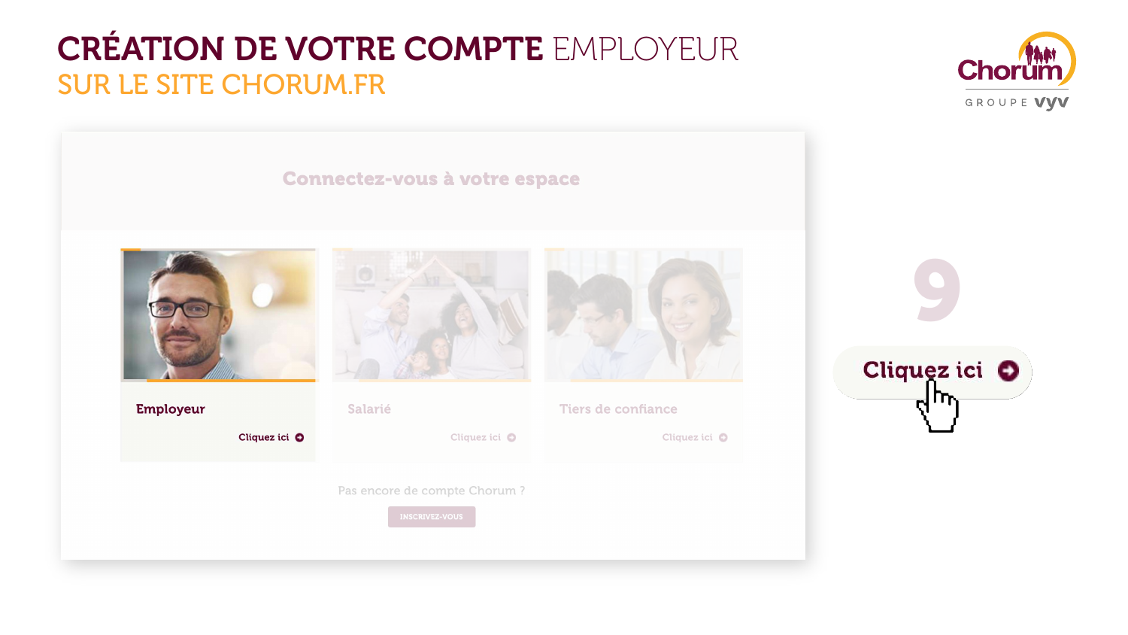#### TICANARING ALIANALI



#### **Employeur**

Cliquez ici O



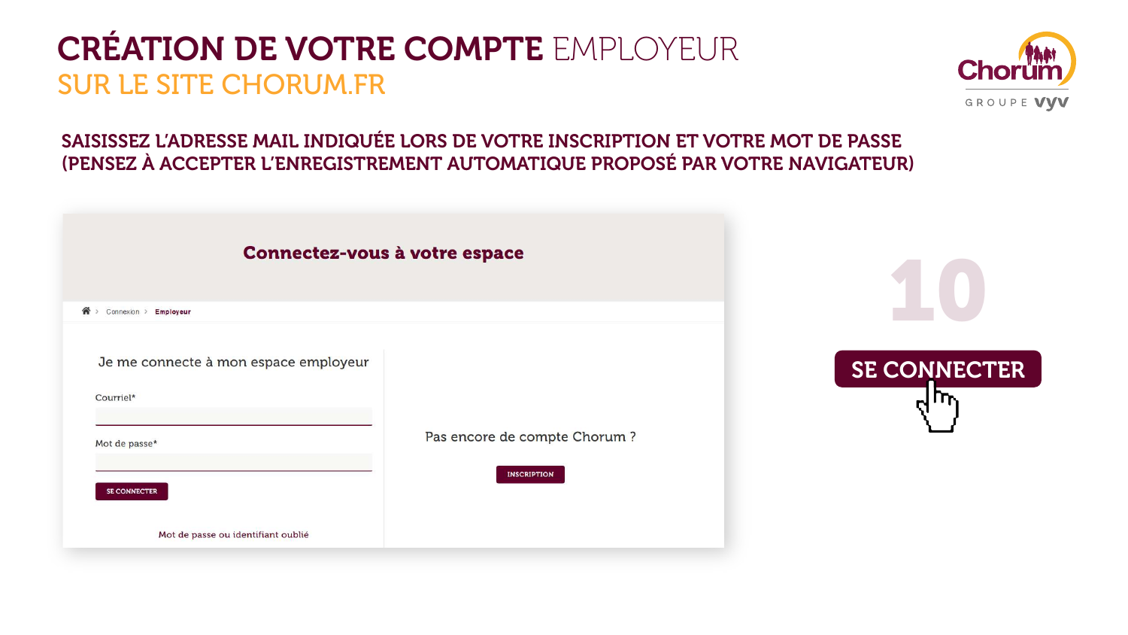### SAISISSEZ L'ADRESSE MAIL INDIQUÉE LORS DE VOTRE INSCRIPTION ET VOTRE MOT DE PASSE (PENSEZ À ACCEPTER L'ENREGISTREMENT AUTOMATIQUE PROPOSÉ PAR VOTRE NAVIGATEUR)







**INSCRIPTION**